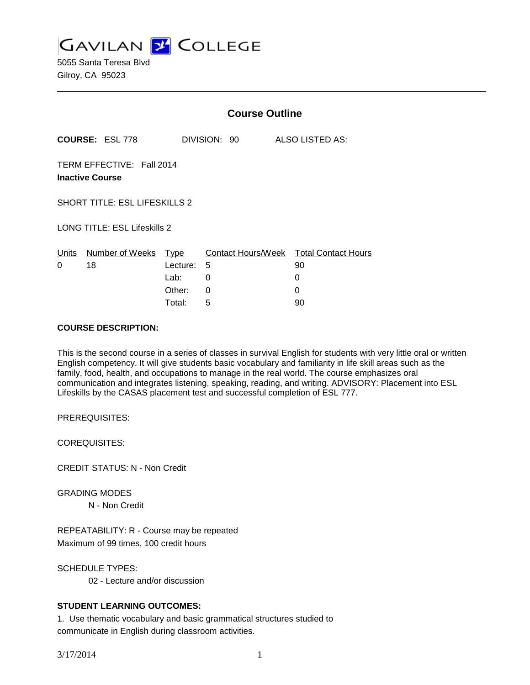**GAVILAN J COLLEGE** 

5055 Santa Teresa Blvd Gilroy, CA 95023

|                                                     |                        | <b>Course Outline</b>                     |                                   |                                            |  |
|-----------------------------------------------------|------------------------|-------------------------------------------|-----------------------------------|--------------------------------------------|--|
|                                                     | <b>COURSE: ESL 778</b> |                                           | DIVISION: 90                      | ALSO LISTED AS:                            |  |
| TERM EFFECTIVE: Fall 2014<br><b>Inactive Course</b> |                        |                                           |                                   |                                            |  |
| <b>SHORT TITLE: ESL LIFESKILLS 2</b>                |                        |                                           |                                   |                                            |  |
| <b>LONG TITLE: ESL Lifeskills 2</b>                 |                        |                                           |                                   |                                            |  |
| Units<br>0                                          | Number of Weeks<br>18  | <u>Type</u><br>Lecture:<br>Lab:<br>Other: | Contact Hours/Week<br>5<br>0<br>0 | <b>Total Contact Hours</b><br>90<br>0<br>0 |  |
|                                                     |                        | Total:                                    | 5                                 | 90                                         |  |

## **COURSE DESCRIPTION:**

This is the second course in a series of classes in survival English for students with very little oral or written English competency. It will give students basic vocabulary and familiarity in life skill areas such as the family, food, health, and occupations to manage in the real world. The course emphasizes oral communication and integrates listening, speaking, reading, and writing. ADVISORY: Placement into ESL Lifeskills by the CASAS placement test and successful completion of ESL 777.

PREREQUISITES:

COREQUISITES:

CREDIT STATUS: N - Non Credit

GRADING MODES N - Non Credit

REPEATABILITY: R - Course may be repeated Maximum of 99 times, 100 credit hours

SCHEDULE TYPES: 02 - Lecture and/or discussion

# **STUDENT LEARNING OUTCOMES:**

1. Use thematic vocabulary and basic grammatical structures studied to communicate in English during classroom activities.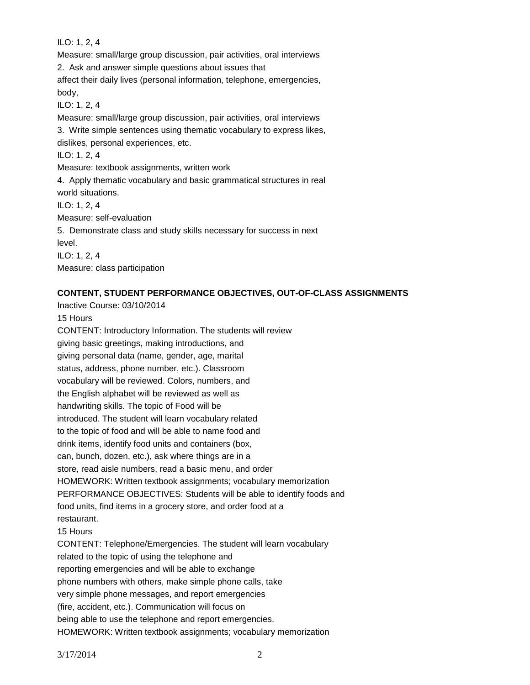ILO: 1, 2, 4

Measure: small/large group discussion, pair activities, oral interviews 2. Ask and answer simple questions about issues that affect their daily lives (personal information, telephone, emergencies, body, ILO: 1, 2, 4 Measure: small/large group discussion, pair activities, oral interviews 3. Write simple sentences using thematic vocabulary to express likes, dislikes, personal experiences, etc. ILO: 1, 2, 4 Measure: textbook assignments, written work 4. Apply thematic vocabulary and basic grammatical structures in real world situations. ILO: 1, 2, 4 Measure: self-evaluation 5. Demonstrate class and study skills necessary for success in next level. ILO: 1, 2, 4 Measure: class participation

# **CONTENT, STUDENT PERFORMANCE OBJECTIVES, OUT-OF-CLASS ASSIGNMENTS**

Inactive Course: 03/10/2014 15 Hours CONTENT: Introductory Information. The students will review giving basic greetings, making introductions, and giving personal data (name, gender, age, marital status, address, phone number, etc.). Classroom vocabulary will be reviewed. Colors, numbers, and the English alphabet will be reviewed as well as handwriting skills. The topic of Food will be introduced. The student will learn vocabulary related to the topic of food and will be able to name food and drink items, identify food units and containers (box, can, bunch, dozen, etc.), ask where things are in a store, read aisle numbers, read a basic menu, and order HOMEWORK: Written textbook assignments; vocabulary memorization PERFORMANCE OBJECTIVES: Students will be able to identify foods and food units, find items in a grocery store, and order food at a restaurant. 15 Hours CONTENT: Telephone/Emergencies. The student will learn vocabulary related to the topic of using the telephone and reporting emergencies and will be able to exchange phone numbers with others, make simple phone calls, take very simple phone messages, and report emergencies (fire, accident, etc.). Communication will focus on being able to use the telephone and report emergencies. HOMEWORK: Written textbook assignments; vocabulary memorization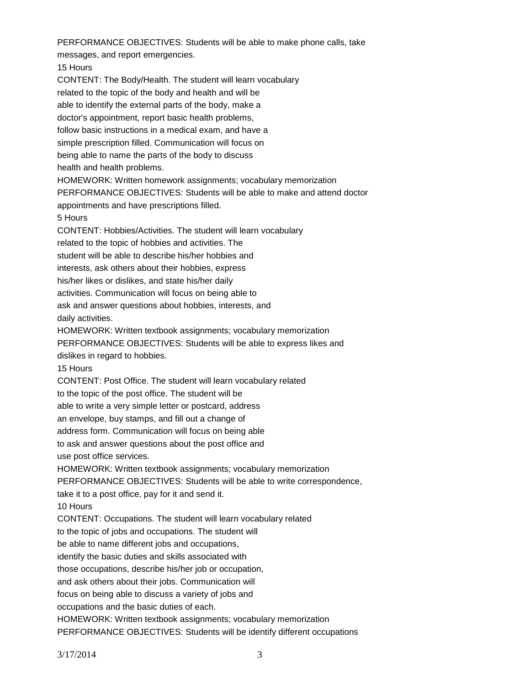PERFORMANCE OBJECTIVES: Students will be able to make phone calls, take messages, and report emergencies. 15 Hours CONTENT: The Body/Health. The student will learn vocabulary related to the topic of the body and health and will be able to identify the external parts of the body, make a doctor's appointment, report basic health problems, follow basic instructions in a medical exam, and have a simple prescription filled. Communication will focus on being able to name the parts of the body to discuss health and health problems. HOMEWORK: Written homework assignments; vocabulary memorization PERFORMANCE OBJECTIVES: Students will be able to make and attend doctor appointments and have prescriptions filled. 5 Hours CONTENT: Hobbies/Activities. The student will learn vocabulary related to the topic of hobbies and activities. The student will be able to describe his/her hobbies and interests, ask others about their hobbies, express his/her likes or dislikes, and state his/her daily activities. Communication will focus on being able to ask and answer questions about hobbies, interests, and daily activities. HOMEWORK: Written textbook assignments; vocabulary memorization PERFORMANCE OBJECTIVES: Students will be able to express likes and dislikes in regard to hobbies. 15 Hours CONTENT: Post Office. The student will learn vocabulary related to the topic of the post office. The student will be able to write a very simple letter or postcard, address an envelope, buy stamps, and fill out a change of address form. Communication will focus on being able to ask and answer questions about the post office and use post office services. HOMEWORK: Written textbook assignments; vocabulary memorization PERFORMANCE OBJECTIVES: Students will be able to write correspondence, take it to a post office, pay for it and send it. 10 Hours CONTENT: Occupations. The student will learn vocabulary related to the topic of jobs and occupations. The student will be able to name different jobs and occupations, identify the basic duties and skills associated with those occupations, describe his/her job or occupation, and ask others about their jobs. Communication will focus on being able to discuss a variety of jobs and occupations and the basic duties of each. HOMEWORK: Written textbook assignments; vocabulary memorization

PERFORMANCE OBJECTIVES: Students will be identify different occupations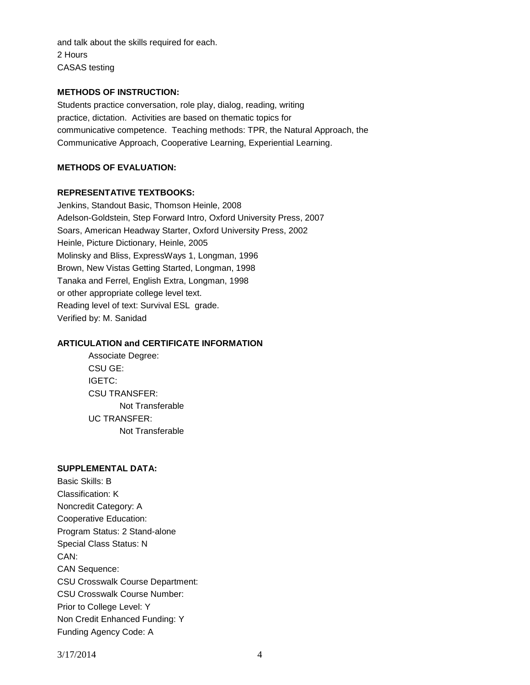and talk about the skills required for each. 2 Hours CASAS testing

# **METHODS OF INSTRUCTION:**

Students practice conversation, role play, dialog, reading, writing practice, dictation. Activities are based on thematic topics for communicative competence. Teaching methods: TPR, the Natural Approach, the Communicative Approach, Cooperative Learning, Experiential Learning.

# **METHODS OF EVALUATION:**

## **REPRESENTATIVE TEXTBOOKS:**

Jenkins, Standout Basic, Thomson Heinle, 2008 Adelson-Goldstein, Step Forward Intro, Oxford University Press, 2007 Soars, American Headway Starter, Oxford University Press, 2002 Heinle, Picture Dictionary, Heinle, 2005 Molinsky and Bliss, ExpressWays 1, Longman, 1996 Brown, New Vistas Getting Started, Longman, 1998 Tanaka and Ferrel, English Extra, Longman, 1998 or other appropriate college level text. Reading level of text: Survival ESL grade. Verified by: M. Sanidad

# **ARTICULATION and CERTIFICATE INFORMATION**

Associate Degree: CSU GE: IGETC: CSU TRANSFER: Not Transferable UC TRANSFER: Not Transferable

#### **SUPPLEMENTAL DATA:**

Basic Skills: B Classification: K Noncredit Category: A Cooperative Education: Program Status: 2 Stand-alone Special Class Status: N CAN: CAN Sequence: CSU Crosswalk Course Department: CSU Crosswalk Course Number: Prior to College Level: Y Non Credit Enhanced Funding: Y Funding Agency Code: A